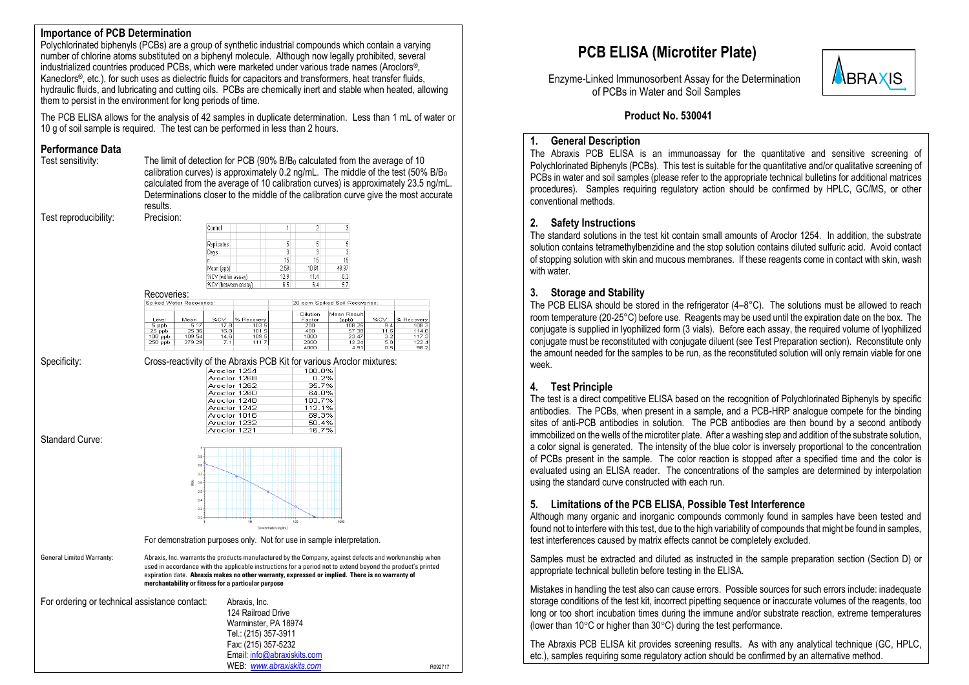### **Importance of PCB Determination**

Polychlorinated biphenyls (PCBs) are a group of synthetic industrial compounds which contain a varying number of chlorine atoms substituted on a biphenyl molecule. Although now legally prohibited, several industrialized countries produced PCBs, which were marketed under various trade names (Aroclors®, Kaneclors®, etc.), for such uses as dielectric fluids for capacitors and transformers, heat transfer fluids, hydraulic fluids, and lubricating and cutting oils. PCBs are chemically inert and stable when heated, allowing them to persist in the environment for long periods of time.

The PCB ELISA allows for the analysis of 42 samples in duplicate determination. Less than 1 mL of water or 10 g of soil sample is required. The test can be performed in less than 2 hours.

# **Performance Data**<br>Test sensitivity:

The limit of detection for PCB (90%  $B/B<sub>0</sub>$  calculated from the average of 10 calibration curves) is approximately 0.2 ng/mL. The middle of the test (50% B/B<sup>0</sup> calculated from the average of 10 calibration curves) is approximately 23.5 ng/mL. Determinations closer to the middle of the calibration curve give the most accurate results.

Test reproducibility: Precision:

| Control             |      |       | 3     |
|---------------------|------|-------|-------|
|                     |      |       |       |
| Replicates          |      | 5     | 5     |
| Days                | 3    | 3     | 3     |
| n                   | 15   | 15    | 15    |
| Mean (ppb)          | 2.59 | 10.91 | 49.97 |
| %CV (within assay)  | 12.9 | 11.4  | 8.3   |
| %CV (between assay) | 6.5  | 6.4   | 5.7   |

**Deparation** 

| 1 1000 YUNUU.            |        |       |            |                                |             |       |            |
|--------------------------|--------|-------|------------|--------------------------------|-------------|-------|------------|
| Spiked Water Recoveries: |        |       |            | 20 ppm Spiked Soil Recoveries: |             |       |            |
|                          |        |       |            |                                |             |       |            |
|                          |        |       |            | Dilution                       | Mean Result |       |            |
| Level                    | Mean   | %CV   | % Recovery | Factor                         | (ppb)       | %CV   | % Recovery |
| 5 ppb                    | 5.17   | 17 BI | 103.5      | 200                            | 108.25      | 9.4   | 108.3      |
| $25$ ppb                 | 25.36  | 16.8  | 101.5      | 400                            | 57.38       | 11.61 | 114.8      |
| $100$ ppb                | 109.54 | 14.6  | 109.5      | 1000                           | 23.47       | 3.2   | 117.3      |
| 250 ppb                  | 279.29 | 7.1   | 111.7      | 2000                           | 12.24       | 5.8   | 122.4      |
|                          |        |       |            | 4000                           | 4.91        | 0.5   | 98.2       |

Specificity: Cross-reactivity of the Abraxis PCB Kit for various Aroclor mixtures: Aroclor 1268 0.2% Aroclor 1262 35.7% Aroclor 1260 64.0% Aroclor 1248 183.7% Arnelor 1242 112 1% Aroclor 1016 69.3% Aroclor 1232 50.4% Aroclor 1221 16.7%

Standard Curve:



For demonstration purposes only. Not for use in sample interpretation.

General Limited Warranty: Abraxis, Inc. warrants the products manufactured by the Company, against defects and workmanship when used in accordance with the applicable instructions for a period not to extend beyond the product's printed expiration date. Abraxis makes no other warranty, expressed or implied. There is no warranty of merchantability or fitness for a particular purpose

| For ordering or technical assistance contact: | Abraxis, Inc.               |         |
|-----------------------------------------------|-----------------------------|---------|
|                                               | 124 Railroad Drive          |         |
|                                               | Warminster, PA 18974        |         |
|                                               | Tel.: (215) 357-3911        |         |
|                                               | Fax: (215) 357-5232         |         |
|                                               | Email: info@abraxiskits.com |         |
|                                               | WEB: www.abraxiskits.com    | R092717 |

## **PCB ELISA (Microtiter Plate)**

 Enzyme-Linked Immunosorbent Assay for the Determination of PCBs in Water and Soil Samples



### **Product No. 530041**

### **1. General Description**

The Abraxis PCB ELISA is an immunoassay for the quantitative and sensitive screening of Polychlorinated Biphenyls (PCBs). This test is suitable for the quantitative and/or qualitative screening of PCBs in water and soil samples (please refer to the appropriate technical bulletins for additional matrices procedures). Samples requiring regulatory action should be confirmed by HPLC, GC/MS, or other conventional methods.

### **2. Safety Instructions**

The standard solutions in the test kit contain small amounts of Aroclor 1254. In addition, the substrate solution contains tetramethylbenzidine and the stop solution contains diluted sulfuric acid. Avoid contact of stopping solution with skin and mucous membranes. If these reagents come in contact with skin, wash with water.

### **3. Storage and Stability**

The PCB ELISA should be stored in the refrigerator  $(4-8\degree C)$ . The solutions must be allowed to reach room temperature (20-25°C) before use. Reagents may be used until the expiration date on the box. The conjugate is supplied in lyophilized form (3 vials). Before each assay, the required volume of lyophilized conjugate must be reconstituted with conjugate diluent (see Test Preparation section). Reconstitute only the amount needed for the samples to be run, as the reconstituted solution will only remain viable for one week.

### **4. Test Principle**

The test is a direct competitive ELISA based on the recognition of Polychlorinated Biphenyls by specific antibodies. The PCBs, when present in a sample, and a PCB-HRP analogue compete for the binding sites of anti-PCB antibodies in solution. The PCB antibodies are then bound by a second antibody immobilized on the wells of the microtiter plate. After a washing step and addition of the substrate solution, a color signal is generated. The intensity of the blue color is inversely proportional to the concentration of PCBs present in the sample. The color reaction is stopped after a specified time and the color is evaluated using an ELISA reader. The concentrations of the samples are determined by interpolation using the standard curve constructed with each run.

### **5. Limitations of the PCB ELISA, Possible Test Interference**

Although many organic and inorganic compounds commonly found in samples have been tested and found not to interfere with this test, due to the high variability of compounds that might be found in samples, test interferences caused by matrix effects cannot be completely excluded.

Samples must be extracted and diluted as instructed in the sample preparation section (Section D) or appropriate technical bulletin before testing in the ELISA.

Mistakes in handling the test also can cause errors. Possible sources for such errors include: inadequate storage conditions of the test kit, incorrect pipetting sequence or inaccurate volumes of the reagents, too long or too short incubation times during the immune and/or substrate reaction, extreme temperatures (lower than 10 $\degree$ C or higher than 30 $\degree$ C) during the test performance.

The Abraxis PCB ELISA kit provides screening results. As with any analytical technique (GC, HPLC, etc.), samples requiring some regulatory action should be confirmed by an alternative method.